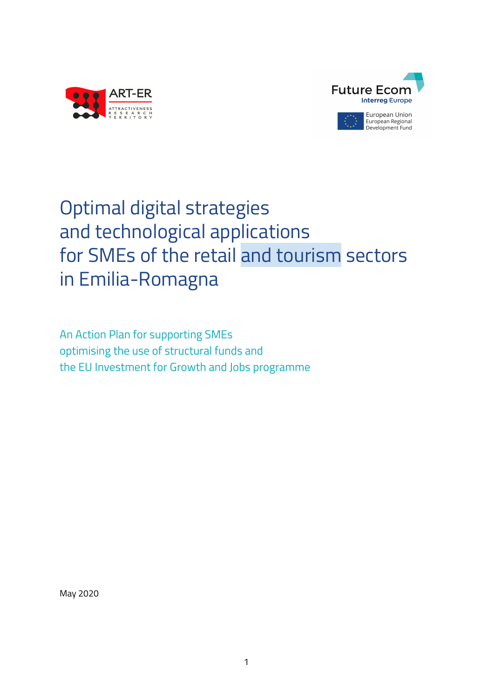



# Optimal digital strategies and technological applications for SMEs of the retail and tourism sectors in Emilia-Romagna

An Action Plan for supporting SMEs optimising the use of structural funds and the EU Investment for Growth and Jobs programme

May 2020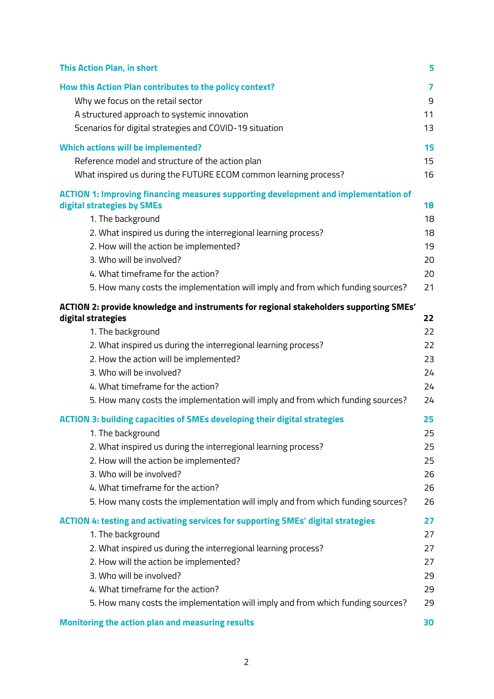| <b>This Action Plan, in short</b>                                                                            | 5  |
|--------------------------------------------------------------------------------------------------------------|----|
| How this Action Plan contributes to the policy context?                                                      | 7  |
| Why we focus on the retail sector                                                                            | 9  |
| A structured approach to systemic innovation                                                                 | 11 |
| Scenarios for digital strategies and COVID-19 situation                                                      | 13 |
| <b>Which actions will be implemented?</b>                                                                    | 15 |
| Reference model and structure of the action plan                                                             | 15 |
| What inspired us during the FUTURE ECOM common learning process?                                             | 16 |
| <b>ACTION 1: Improving financing measures supporting development and implementation of</b>                   |    |
| digital strategies by SMEs                                                                                   | 18 |
| 1. The background                                                                                            | 18 |
| 2. What inspired us during the interregional learning process?                                               | 18 |
| 2. How will the action be implemented?                                                                       | 19 |
| 3. Who will be involved?                                                                                     | 20 |
| 4. What timeframe for the action?                                                                            | 20 |
| 5. How many costs the implementation will imply and from which funding sources?                              | 21 |
| ACTION 2: provide knowledge and instruments for regional stakeholders supporting SMEs'<br>digital strategies | 22 |
| 1. The background                                                                                            | 22 |
| 2. What inspired us during the interregional learning process?                                               | 22 |
| 2. How the action will be implemented?                                                                       | 23 |
| 3. Who will be involved?                                                                                     | 24 |
| 4. What timeframe for the action?                                                                            | 24 |
| 5. How many costs the implementation will imply and from which funding sources?                              | 24 |
| <b>ACTION 3: building capacities of SMEs developing their digital strategies</b>                             | 25 |
| 1. The background                                                                                            | 25 |
| 2. What inspired us during the interregional learning process?                                               | 25 |
| 2. How will the action be implemented?                                                                       | 25 |
| 3. Who will be involved?                                                                                     | 26 |
| 4. What timeframe for the action?                                                                            | 26 |
| 5. How many costs the implementation will imply and from which funding sources?                              | 26 |
| <b>ACTION 4: testing and activating services for supporting SMEs' digital strategies</b>                     | 27 |
| 1. The background                                                                                            | 27 |
| 2. What inspired us during the interregional learning process?                                               | 27 |
| 2. How will the action be implemented?                                                                       | 27 |
| 3. Who will be involved?                                                                                     | 29 |
| 4. What timeframe for the action?                                                                            | 29 |
| 5. How many costs the implementation will imply and from which funding sources?                              | 29 |
| Monitoring the action plan and measuring results                                                             | 30 |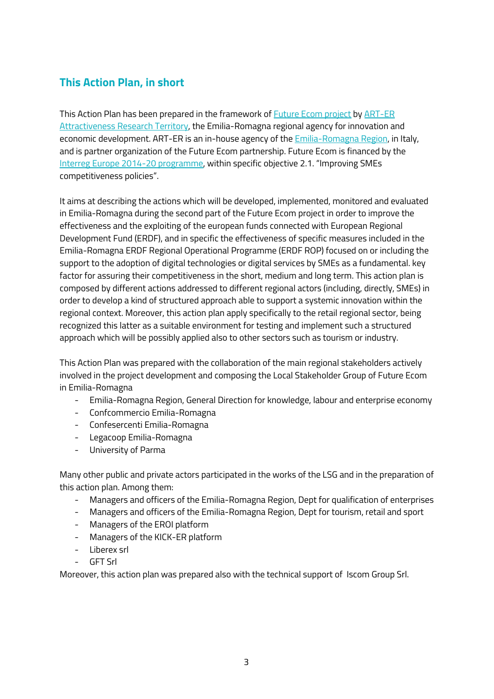### <span id="page-2-0"></span>**This Action Plan, in short**

This Action Plan has been prepared in the framework of Future Ecom [project](https://www.interregeurope.eu/future-ecom/) by [ART-ER](https://en.art-er.it/) [Attractiveness](https://en.art-er.it/) Research Territory, the Emilia-Romagna regional agency for innovation and economic development. ART-ER is an in-house agency of the [Emilia-Romagna](https://www.regione.emilia-romagna.it/) Region, in Italy, and is partner organization of the Future Ecom partnership. Future Ecom is financed by the Interreg Europe 2014-20 [programme](https://www.interregeurope.eu/), within specific objective 2.1. "Improving SMEs competitiveness policies".

It aims at describing the actions which will be developed, implemented, monitored and evaluated in Emilia-Romagna during the second part of the Future Ecom project in order to improve the effectiveness and the exploiting of the european funds connected with European Regional Development Fund (ERDF), and in specific the effectiveness of specific measures included in the Emilia-Romagna ERDF Regional Operational Programme (ERDF ROP) focused on or including the support to the adoption of digital technologies or digital services by SMEs as a fundamental. key factor for assuring their competitiveness in the short, medium and long term. This action plan is composed by different actions addressed to different regional actors (including, directly, SMEs) in order to develop a kind of structured approach able to support a systemic innovation within the regional context. Moreover, this action plan apply specifically to the retail regional sector, being recognized this latter as a suitable environment for testing and implement such a structured approach which will be possibly applied also to other sectors such as tourism or industry.

This Action Plan was prepared with the collaboration of the main regional stakeholders actively involved in the project development and composing the Local Stakeholder Group of Future Ecom in Emilia-Romagna

- Emilia-Romagna Region, General Direction for knowledge, labour and enterprise economy
- Confcommercio Emilia-Romagna
- Confesercenti Emilia-Romagna
- Legacoop Emilia-Romagna
- University of Parma

Many other public and private actors participated in the works of the LSG and in the preparation of this action plan. Among them:

- Managers and officers of the Emilia-Romagna Region, Dept for qualification of enterprises
- Managers and officers of the Emilia-Romagna Region, Dept for tourism, retail and sport
- Managers of the EROI platform
- Managers of the KICK-ER platform
- Liberex srl
- GFT Srl

Moreover, this action plan was prepared also with the technical support of Iscom Group Srl.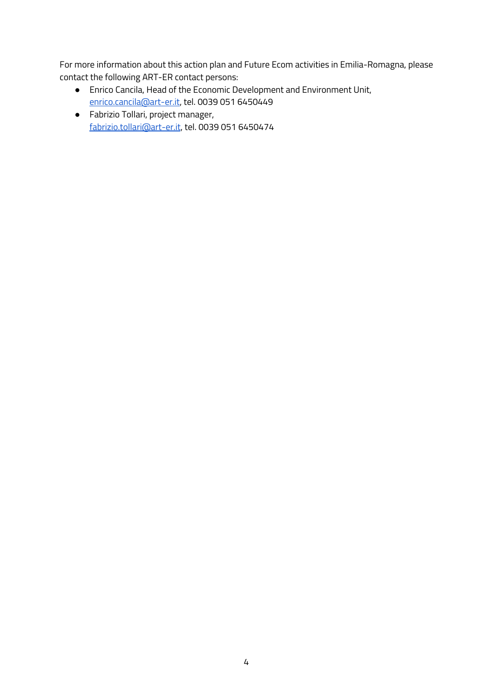For more information about this action plan and Future Ecom activities in Emilia-Romagna, please contact the following ART-ER contact persons:

- Enrico Cancila, Head of the Economic Development and Environment Unit, [enrico.cancila@art-er.it,](mailto:enrico.cancila@art-er.it) tel. 0039 051 6450449
- Fabrizio Tollari, project manager, [fabrizio.tollari@art-er.it](mailto:fabrizio.tollari@art-er.it), tel. 0039 051 6450474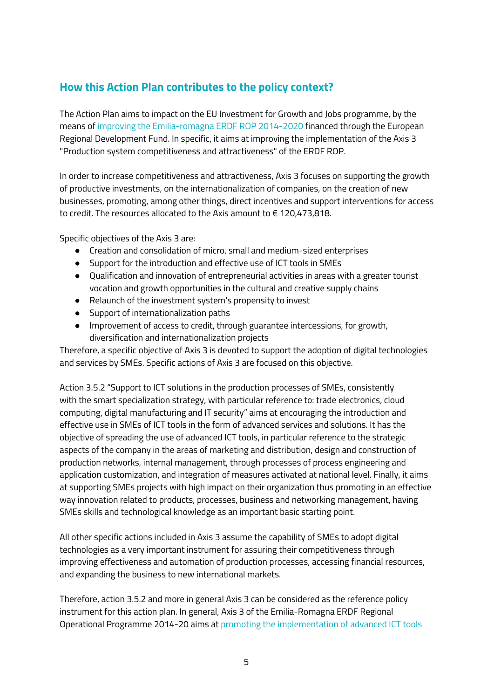### <span id="page-4-0"></span>**How this Action Plan contributes to the policy context?**

The Action Plan aims to impact on the EU Investment for Growth and Jobs programme, by the means of improving the Emilia-romagna ERDF ROP 2014-2020 financed through the European Regional Development Fund. In specific, it aims at improving the implementation of the Axis 3 "Production system competitiveness and attractiveness" of the ERDF ROP.

In order to increase competitiveness and attractiveness, Axis 3 focuses on supporting the growth of productive investments, on the internationalization of companies, on the creation of new businesses, promoting, among other things, direct incentives and support interventions for access to credit. The resources allocated to the Axis amount to € 120,473,818.

Specific objectives of the Axis 3 are:

- Creation and consolidation of micro, small and medium-sized enterprises
- Support for the introduction and effective use of ICT tools in SMEs
- Qualification and innovation of entrepreneurial activities in areas with a greater tourist vocation and growth opportunities in the cultural and creative supply chains
- Relaunch of the investment system's propensity to invest
- Support of internationalization paths
- Improvement of access to credit, through guarantee intercessions, for growth, diversification and internationalization projects

Therefore, a specific objective of Axis 3 is devoted to support the adoption of digital technologies and services by SMEs. Specific actions of Axis 3 are focused on this objective.

Action 3.5.2 "Support to ICT solutions in the production processes of SMEs, consistently with the smart specialization strategy, with particular reference to: trade electronics, cloud computing, digital manufacturing and IT security" aims at encouraging the introduction and effective use in SMEs of ICT tools in the form of advanced services and solutions. It has the objective of spreading the use of advanced ICT tools, in particular reference to the strategic aspects of the company in the areas of marketing and distribution, design and construction of production networks, internal management, through processes of process engineering and application customization, and integration of measures activated at national level. Finally, it aims at supporting SMEs projects with high impact on their organization thus promoting in an effective way innovation related to products, processes, business and networking management, having SMEs skills and technological knowledge as an important basic starting point.

All other specific actions included in Axis 3 assume the capability of SMEs to adopt digital technologies as a very important instrument for assuring their competitiveness through improving effectiveness and automation of production processes, accessing financial resources, and expanding the business to new international markets.

Therefore, action 3.5.2 and more in general Axis 3 can be considered as the reference policy instrument for this action plan. In general, Axis 3 of the Emilia-Romagna ERDF Regional Operational Programme 2014-20 aims at promoting the implementation of advanced ICT tools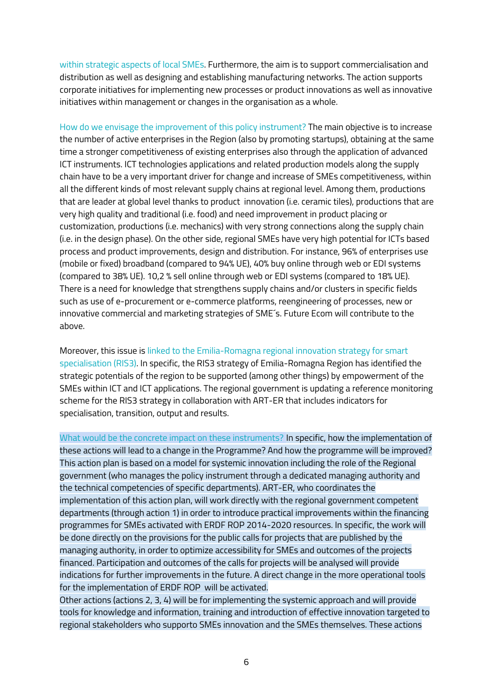within strategic aspects of local SMEs. Furthermore, the aim is to support commercialisation and distribution as well as designing and establishing manufacturing networks. The action supports corporate initiatives for implementing new processes or product innovations as well as innovative initiatives within management or changes in the organisation as a whole.

How do we envisage the improvement of this policy instrument? The main objective is to increase the number of active enterprises in the Region (also by promoting startups), obtaining at the same time a stronger competitiveness of existing enterprises also through the application of advanced ICT instruments. ICT technologies applications and related production models along the supply chain have to be a very important driver for change and increase of SMEs competitiveness, within all the different kinds of most relevant supply chains at regional level. Among them, productions that are leader at global level thanks to product innovation (i.e. ceramic tiles), productions that are very high quality and traditional (i.e. food) and need improvement in product placing or customization, productions (i.e. mechanics) with very strong connections along the supply chain (i.e. in the design phase). On the other side, regional SMEs have very high potential for ICTs based process and product improvements, design and distribution. For instance, 96% of enterprises use (mobile or fixed) broadband (compared to 94% UE), 40% buy online through web or EDI systems (compared to 38% UE). 10,2 % sell online through web or EDI systems (compared to 18% UE). There is a need for knowledge that strengthens supply chains and/or clusters in specific fields such as use of e-procurement or e-commerce platforms, reengineering of processes, new or innovative commercial and marketing strategies of SME´s. Future Ecom will contribute to the above.

Moreover, this issue is linked to the Emilia-Romagna regional innovation strategy for smart specialisation (RIS3). In specific, the RIS3 strategy of Emilia-Romagna Region has identified the strategic potentials of the region to be supported (among other things) by empowerment of the SMEs within ICT and ICT applications. The regional government is updating a reference monitoring scheme for the RIS3 strategy in collaboration with ART-ER that includes indicators for specialisation, transition, output and results.

What would be the concrete impact on these instruments? In specific, how the implementation of these actions will lead to a change in the Programme? And how the programme will be improved? This action plan is based on a model for systemic innovation including the role of the Regional government (who manages the policy instrument through a dedicated managing authority and the technical competencies of specific departments). ART-ER, who coordinates the implementation of this action plan, will work directly with the regional government competent departments (through action 1) in order to introduce practical improvements within the financing programmes for SMEs activated with ERDF ROP 2014-2020 resources. In specific, the work will be done directly on the provisions for the public calls for projects that are published by the managing authority, in order to optimize accessibility for SMEs and outcomes of the projects financed. Participation and outcomes of the calls for projects will be analysed will provide indications for further improvements in the future. A direct change in the more operational tools for the implementation of ERDF ROP will be activated.

Other actions (actions 2, 3, 4) will be for implementing the systemic approach and will provide tools for knowledge and information, training and introduction of effective innovation targeted to regional stakeholders who supporto SMEs innovation and the SMEs themselves. These actions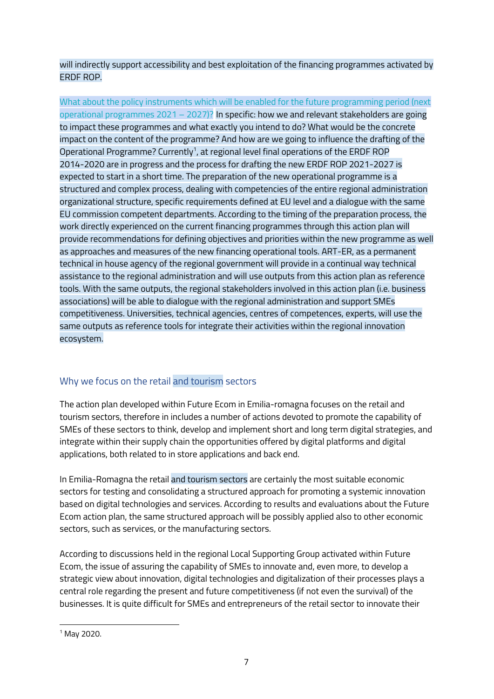will indirectly support accessibility and best exploitation of the financing programmes activated by ERDF ROP.

What about the policy instruments which will be enabled for the future programming period (next operational programmes  $2021 - 2027$ ? In specific: how we and relevant stakeholders are going to impact these programmes and what exactly you intend to do? What would be the concrete impact on the content of the programme? And how are we going to influence the drafting of the Operational Programme? Currently $^{\text{\tiny{\textsf{1}}}}$ , at regional level final operations of the ERDF ROP 2014-2020 are in progress and the process for drafting the new ERDF ROP 2021-2027 is expected to start in a short time. The preparation of the new operational programme is a structured and complex process, dealing with competencies of the entire regional administration organizational structure, specific requirements defined at EU level and a dialogue with the same EU commission competent departments. According to the timing of the preparation process, the work directly experienced on the current financing programmes through this action plan will provide recommendations for defining objectives and priorities within the new programme as well as approaches and measures of the new financing operational tools. ART-ER, as a permanent technical in house agency of the regional government will provide in a continual way technical assistance to the regional administration and will use outputs from this action plan as reference tools. With the same outputs, the regional stakeholders involved in this action plan (i.e. business associations) will be able to dialogue with the regional administration and support SMEs competitiveness. Universities, technical agencies, centres of competences, experts, will use the same outputs as reference tools for integrate their activities within the regional innovation ecosystem.

### <span id="page-6-0"></span>Why we focus on the retail and tourism sectors

The action plan developed within Future Ecom in Emilia-romagna focuses on the retail and tourism sectors, therefore in includes a number of actions devoted to promote the capability of SMEs of these sectors to think, develop and implement short and long term digital strategies, and integrate within their supply chain the opportunities offered by digital platforms and digital applications, both related to in store applications and back end.

In Emilia-Romagna the retail and tourism sectors are certainly the most suitable economic sectors for testing and consolidating a structured approach for promoting a systemic innovation based on digital technologies and services. According to results and evaluations about the Future Ecom action plan, the same structured approach will be possibly applied also to other economic sectors, such as services, or the manufacturing sectors.

According to discussions held in the regional Local Supporting Group activated within Future Ecom, the issue of assuring the capability of SMEs to innovate and, even more, to develop a strategic view about innovation, digital technologies and digitalization of their processes plays a central role regarding the present and future competitiveness (if not even the survival) of the businesses. It is quite difficult for SMEs and entrepreneurs of the retail sector to innovate their

 $1$  May 2020.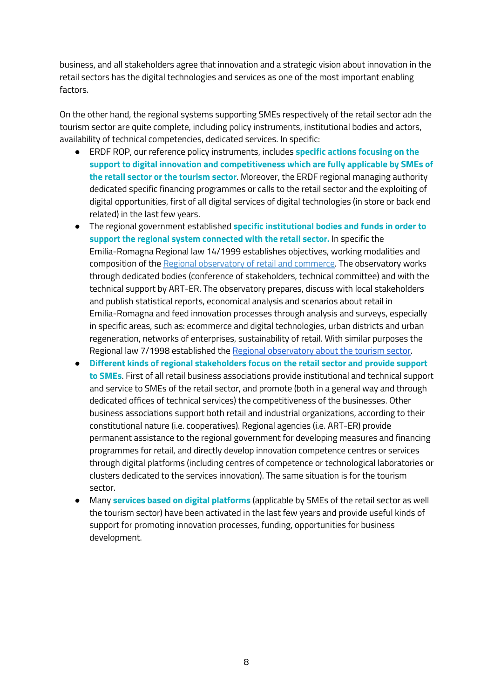business, and all stakeholders agree that innovation and a strategic vision about innovation in the retail sectors has the digital technologies and services as one of the most important enabling factors.

On the other hand, the regional systems supporting SMEs respectively of the retail sector adn the tourism sector are quite complete, including policy instruments, institutional bodies and actors, availability of technical competencies, dedicated services. In specific:

- ERDF ROP, our reference policy instruments, includes **specific actions focusing on the support to digital innovation and competitiveness which are fully applicable by SMEs of the retail sector or the tourism sector**. Moreover, the ERDF regional managing authority dedicated specific financing programmes or calls to the retail sector and the exploiting of digital opportunities, first of all digital services of digital technologies (in store or back end related) in the last few years.
- The regional government established **specific institutional bodies and funds in order to support the regional system connected with the retail sector.** In specific the Emilia-Romagna Regional law 14/1999 establishes objectives, working modalities and composition of the Regional [observatory](https://imprese.regione.emilia-romagna.it/commercio/temi/osservatorio-commercio) of retail and commerce. The observatory works through dedicated bodies (conference of stakeholders, technical committee) and with the technical support by ART-ER. The observatory prepares, discuss with local stakeholders and publish statistical reports, economical analysis and scenarios about retail in Emilia-Romagna and feed innovation processes through analysis and surveys, especially in specific areas, such as: ecommerce and digital technologies, urban districts and urban regeneration, networks of enterprises, sustainability of retail. With similar purposes the Regional law 7/1998 established the Regional [observatory](https://imprese.regione.emilia-romagna.it/turismo/temi/osservatorio-regionale-sul-turismo) about the tourism sector.
- **Different kinds of regional stakeholders focus on the retail sector and provide support to SMEs**. First of all retail business associations provide institutional and technical support and service to SMEs of the retail sector, and promote (both in a general way and through dedicated offices of technical services) the competitiveness of the businesses. Other business associations support both retail and industrial organizations, according to their constitutional nature (i.e. cooperatives). Regional agencies (i.e. ART-ER) provide permanent assistance to the regional government for developing measures and financing programmes for retail, and directly develop innovation competence centres or services through digital platforms (including centres of competence or technological laboratories or clusters dedicated to the services innovation). The same situation is for the tourism sector.
- Many **services based on digital platforms** (applicable by SMEs of the retail sector as well the tourism sector) have been activated in the last few years and provide useful kinds of support for promoting innovation processes, funding, opportunities for business development.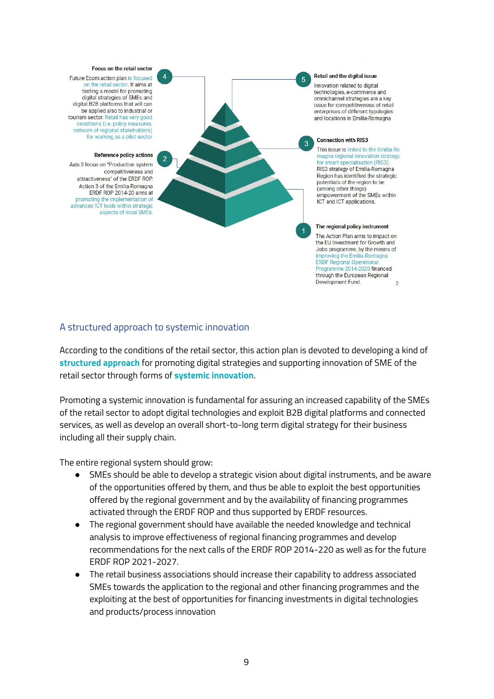#### Focus on the retail sector

 $\overline{4}$ 

Future Ecom action plan is focused on the retail sector. It aims at testing a model for promoting digital strategies of SMEs and digital B2B platforms that will can be applied also to industrial or tourism sector. Retail has very good conditions (i.e. policy measures, network of regional stakeholders) for working as a pilot sector

#### **Reference policy actions**

Axis 3 focus on "Production system competitiveness and attractiveness" of the ERDF ROP. Action 3 of the Emilia-Romagna FRDF ROP 2014-20 aims at promoting the implementation of advanced ICT tools within strategic aspects of local SMEs.

#### Retail and the digital issue 5

Innovation related to digital technologies, e-commerce and omnichannel strategies are a key issue for competitiveness of retail enterprises of different typologies and locations in Emilia-Romagna



This issue is linked to the Emilia-Ro magna regional innovation strategy for smart specialisation (RIS3). RIS3 strategy of Emilia-Romagna Region has identified the strategic potentials of the region to be (among other things) empowerment of the SMEs within ICT and ICT applications.

#### The regional policy instrument

The Action Plan aims to impact on the EU Investment for Growth and Jobs programme, by the means of improving the Emilia-Romagna ERDF Regional Operational<br>Programme 2014-2020 financed through the European Regional Development Fund.  $\overline{\phantom{0}}$ 

### <span id="page-8-0"></span>A structured approach to systemic innovation

According to the conditions of the retail sector, this action plan is devoted to developing a kind of **structured approach** for promoting digital strategies and supporting innovation of SME of the retail sector through forms of **systemic innovation**.

Promoting a systemic innovation is fundamental for assuring an increased capability of the SMEs of the retail sector to adopt digital technologies and exploit B2B digital platforms and connected services, as well as develop an overall short-to-long term digital strategy for their business including all their supply chain.

The entire regional system should grow:

- SMEs should be able to develop a strategic vision about digital instruments, and be aware of the opportunities offered by them, and thus be able to exploit the best opportunities offered by the regional government and by the availability of financing programmes activated through the ERDF ROP and thus supported by ERDF resources.
- The regional government should have available the needed knowledge and technical analysis to improve effectiveness of regional financing programmes and develop recommendations for the next calls of the ERDF ROP 2014-220 as well as for the future ERDF ROP 2021-2027.
- The retail business associations should increase their capability to address associated SMEs towards the application to the regional and other financing programmes and the exploiting at the best of opportunities for financing investments in digital technologies and products/process innovation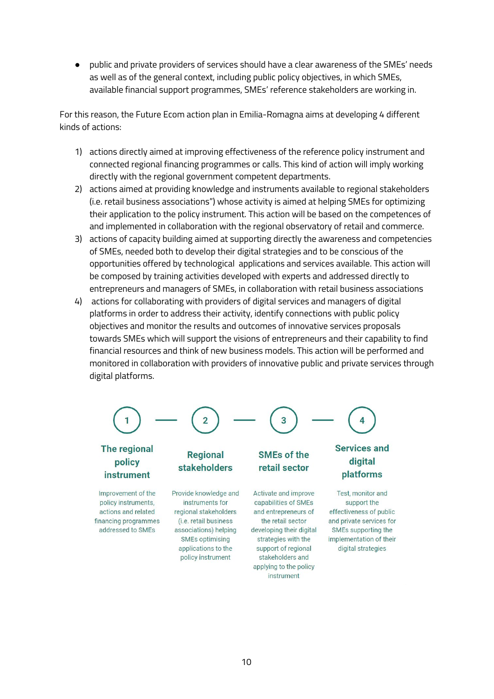● public and private providers of services should have a clear awareness of the SMEs' needs as well as of the general context, including public policy objectives, in which SMEs, available financial support programmes, SMEs' reference stakeholders are working in.

For this reason, the Future Ecom action plan in Emilia-Romagna aims at developing 4 different kinds of actions:

- 1) actions directly aimed at improving effectiveness of the reference policy instrument and connected regional financing programmes or calls. This kind of action will imply working directly with the regional government competent departments.
- 2) actions aimed at providing knowledge and instruments available to regional stakeholders (i.e. retail business associations") whose activity is aimed at helping SMEs for optimizing their application to the policy instrument. This action will be based on the competences of and implemented in collaboration with the regional observatory of retail and commerce.
- 3) actions of capacity building aimed at supporting directly the awareness and competencies of SMEs, needed both to develop their digital strategies and to be conscious of the opportunities offered by technological applications and services available. This action will be composed by training activities developed with experts and addressed directly to entrepreneurs and managers of SMEs, in collaboration with retail business associations
- 4) actions for collaborating with providers of digital services and managers of digital platforms in order to address their activity, identify connections with public policy objectives and monitor the results and outcomes of innovative services proposals towards SMEs which will support the visions of entrepreneurs and their capability to find financial resources and think of new business models. This action will be performed and monitored in collaboration with providers of innovative public and private services through digital platforms.



# policy instrument

Improvement of the policy instruments, actions and related financing programmes addressed to SMEs

Provide knowledge and instruments for regional stakeholders (i.e. retail business associations) helping **SMEs optimising** applications to the policy instrument

**stakeholders** 

## **SMEs of the** retail sector

Activate and improve capabilities of SMEs and entrepreneurs of the retail sector developing their digital strategies with the support of regional stakeholders and applying to the policy instrument

# digital platforms

Test, monitor and support the effectiveness of public and private services for SMEs supporting the implementation of their digital strategies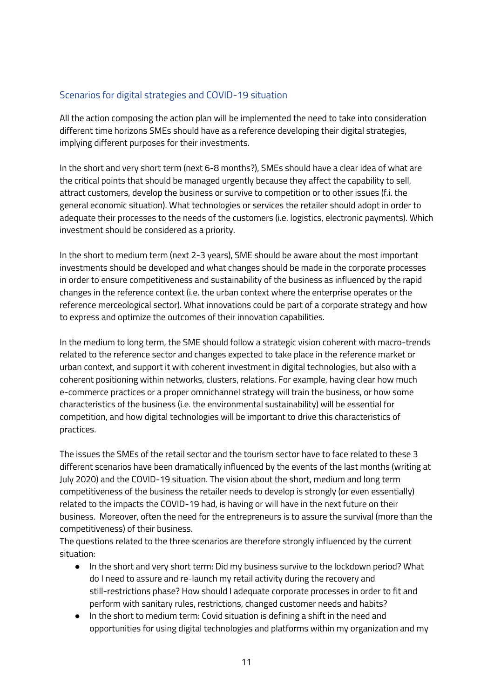### <span id="page-10-0"></span>Scenarios for digital strategies and COVID-19 situation

All the action composing the action plan will be implemented the need to take into consideration different time horizons SMEs should have as a reference developing their digital strategies, implying different purposes for their investments.

In the short and very short term (next 6-8 months?), SMEs should have a clear idea of what are the critical points that should be managed urgently because they affect the capability to sell, attract customers, develop the business or survive to competition or to other issues (f.i. the general economic situation). What technologies or services the retailer should adopt in order to adequate their processes to the needs of the customers (i.e. logistics, electronic payments). Which investment should be considered as a priority.

In the short to medium term (next 2-3 years), SME should be aware about the most important investments should be developed and what changes should be made in the corporate processes in order to ensure competitiveness and sustainability of the business as influenced by the rapid changes in the reference context (i.e. the urban context where the enterprise operates or the reference merceological sector). What innovations could be part of a corporate strategy and how to express and optimize the outcomes of their innovation capabilities.

In the medium to long term, the SME should follow a strategic vision coherent with macro-trends related to the reference sector and changes expected to take place in the reference market or urban context, and support it with coherent investment in digital technologies, but also with a coherent positioning within networks, clusters, relations. For example, having clear how much e-commerce practices or a proper omnichannel strategy will train the business, or how some characteristics of the business (i.e. the environmental sustainability) will be essential for competition, and how digital technologies will be important to drive this characteristics of practices.

The issues the SMEs of the retail sector and the tourism sector have to face related to these 3 different scenarios have been dramatically influenced by the events of the last months (writing at July 2020) and the COVID-19 situation. The vision about the short, medium and long term competitiveness of the business the retailer needs to develop is strongly (or even essentially) related to the impacts the COVID-19 had, is having or will have in the next future on their business. Moreover, often the need for the entrepreneurs is to assure the survival (more than the competitiveness) of their business.

The questions related to the three scenarios are therefore strongly influenced by the current situation:

- In the short and very short term: Did my business survive to the lockdown period? What do I need to assure and re-launch my retail activity during the recovery and still-restrictions phase? How should I adequate corporate processes in order to fit and perform with sanitary rules, restrictions, changed customer needs and habits?
- In the short to medium term: Covid situation is defining a shift in the need and opportunities for using digital technologies and platforms within my organization and my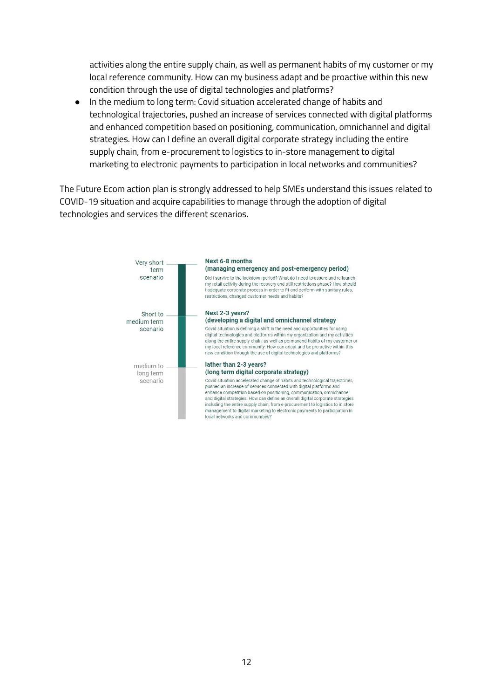activities along the entire supply chain, as well as permanent habits of my customer or my local reference community. How can my business adapt and be proactive within this new condition through the use of digital technologies and platforms?

● In the medium to long term: Covid situation accelerated change of habits and technological trajectories, pushed an increase of services connected with digital platforms and enhanced competition based on positioning, communication, omnichannel and digital strategies. How can I define an overall digital corporate strategy including the entire supply chain, from e-procurement to logistics to in-store management to digital marketing to electronic payments to participation in local networks and communities?

The Future Ecom action plan is strongly addressed to help SMEs understand this issues related to COVID-19 situation and acquire capabilities to manage through the adoption of digital technologies and services the different scenarios.

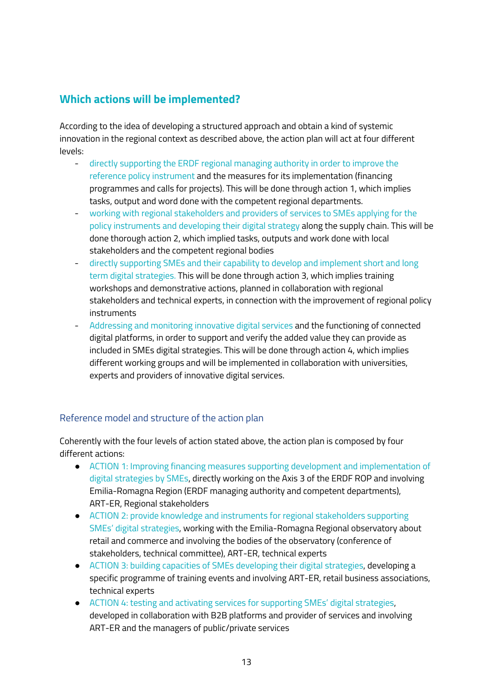### <span id="page-12-0"></span>**Which actions will be implemented?**

According to the idea of developing a structured approach and obtain a kind of systemic innovation in the regional context as described above, the action plan will act at four different levels:

- directly supporting the ERDF regional managing authority in order to improve the reference policy instrument and the measures for its implementation (financing programmes and calls for projects). This will be done through action 1, which implies tasks, output and word done with the competent regional departments.
- working with regional stakeholders and providers of services to SMEs applying for the policy instruments and developing their digital strategy along the supply chain. This will be done thorough action 2, which implied tasks, outputs and work done with local stakeholders and the competent regional bodies
- directly supporting SMEs and their capability to develop and implement short and long term digital strategies. This will be done through action 3, which implies training workshops and demonstrative actions, planned in collaboration with regional stakeholders and technical experts, in connection with the improvement of regional policy instruments
- Addressing and monitoring innovative digital services and the functioning of connected digital platforms, in order to support and verify the added value they can provide as included in SMEs digital strategies. This will be done through action 4, which implies different working groups and will be implemented in collaboration with universities, experts and providers of innovative digital services.

### <span id="page-12-1"></span>Reference model and structure of the action plan

Coherently with the four levels of action stated above, the action plan is composed by four different actions:

- ACTION 1: Improving financing measures supporting development and implementation of digital strategies by SMEs, directly working on the Axis 3 of the ERDF ROP and involving Emilia-Romagna Region (ERDF managing authority and competent departments), ART-ER, Regional stakeholders
- ACTION 2: provide knowledge and instruments for regional stakeholders supporting SMEs' digital strategies, working with the Emilia-Romagna Regional observatory about retail and commerce and involving the bodies of the observatory (conference of stakeholders, technical committee), ART-ER, technical experts
- ACTION 3: building capacities of SMEs developing their digital strategies, developing a specific programme of training events and involving ART-ER, retail business associations, technical experts
- ACTION 4: testing and activating services for supporting SMEs' digital strategies, developed in collaboration with B2B platforms and provider of services and involving ART-ER and the managers of public/private services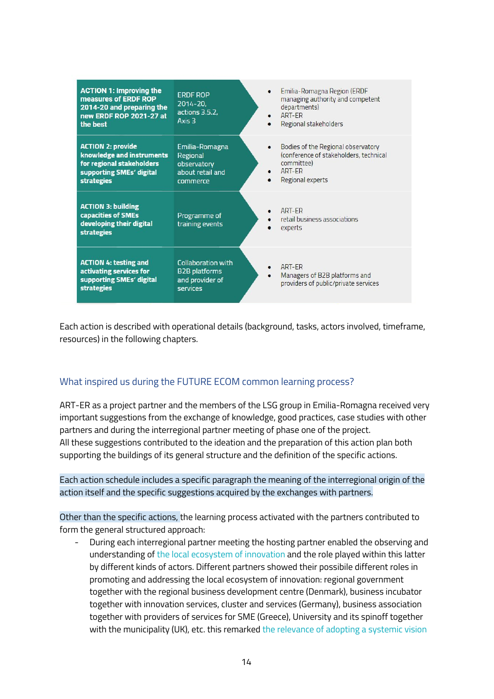| <b>ACTION 1: Improving the</b><br>measures of ERDF ROP<br>2014-20 and preparing the<br>new ERDF ROP 2021-27 at<br>the best          | <b>ERDF ROP</b><br>$2014 - 20.$<br>actions 3.5.2,<br>Axis $3$             | $\bullet$ | Emilia-Romagna Region (ERDF<br>managing authority and competent<br>departments)<br>ART-FR<br>Regional stakeholders       |
|-------------------------------------------------------------------------------------------------------------------------------------|---------------------------------------------------------------------------|-----------|--------------------------------------------------------------------------------------------------------------------------|
| <b>ACTION 2: provide</b><br>knowledge and instruments<br>for regional stakeholders<br>supporting SMEs' digital<br><b>strategies</b> | Emilia-Romagna<br>Regional<br>observatory<br>about retail and<br>commerce | $\bullet$ | Bodies of the Regional observatory<br>(conference of stakeholders, technical<br>committee)<br>ART-FR<br>Regional experts |
| <b>ACTION 3: building</b><br>capacities of SMEs<br>developing their digital<br><b>strategies</b>                                    | Programme of<br>training events                                           |           | ART-FR<br>retail business associations<br>experts                                                                        |
| <b>ACTION 4: testing and</b><br>activating services for<br>supporting SMEs' digital<br><b>strategies</b>                            | Collaboration with<br><b>B2B</b> platforms<br>and provider of<br>services | $\bullet$ | ART-FR<br>Managers of B2B platforms and<br>providers of public/private services                                          |

<span id="page-13-0"></span>Each action is described with operational details (background, tasks, actors involved, timeframe, resources) in the following chapters.

### What inspired us during the FUTURE ECOM common learning process?

ART-ER as a project partner and the members of the LSG group in Emilia-Romagna received very important suggestions from the exchange of knowledge, good practices, case studies with other partners and during the interregional partner meeting of phase one of the project. All these suggestions contributed to the ideation and the preparation of this action plan both supporting the buildings of its general structure and the definition of the specific actions.

Each action schedule includes a specific paragraph the meaning of the interregional origin of the action itself and the specific suggestions acquired by the exchanges with partners.

Other than the specific actions, the learning process activated with the partners contributed to form the general structured approach:

During each interregional partner meeting the hosting partner enabled the observing and understanding of the local ecosystem of innovation and the role played within this latter by different kinds of actors. Different partners showed their possibile different roles in promoting and addressing the local ecosystem of innovation: regional government together with the regional business development centre (Denmark), business incubator together with innovation services, cluster and services (Germany), business association together with providers of services for SME (Greece), University and its spinoff together with the municipality (UK), etc. this remarked the relevance of adopting a systemic vision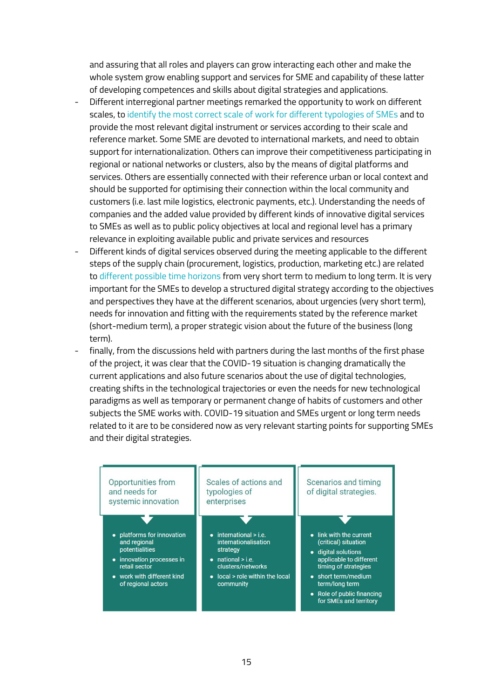and assuring that all roles and players can grow interacting each other and make the whole system grow enabling support and services for SME and capability of these latter of developing competences and skills about digital strategies and applications.

- Different interregional partner meetings remarked the opportunity to work on different scales, to identify the most correct scale of work for different typologies of SMEs and to provide the most relevant digital instrument or services according to their scale and reference market. Some SME are devoted to international markets, and need to obtain support for internationalization. Others can improve their competitiveness participating in regional or national networks or clusters, also by the means of digital platforms and services. Others are essentially connected with their reference urban or local context and should be supported for optimising their connection within the local community and customers (i.e. last mile logistics, electronic payments, etc.). Understanding the needs of companies and the added value provided by different kinds of innovative digital services to SMEs as well as to public policy objectives at local and regional level has a primary relevance in exploiting available public and private services and resources
- Different kinds of digital services observed during the meeting applicable to the different steps of the supply chain (procurement, logistics, production, marketing etc.) are related to different possible time horizons from very short term to medium to long term. It is very important for the SMEs to develop a structured digital strategy according to the objectives and perspectives they have at the different scenarios, about urgencies (very short term), needs for innovation and fitting with the requirements stated by the reference market (short-medium term), a proper strategic vision about the future of the business (long term).
- finally, from the discussions held with partners during the last months of the first phase of the project, it was clear that the COVID-19 situation is changing dramatically the current applications and also future scenarios about the use of digital technologies, creating shifts in the technological trajectories or even the needs for new technological paradigms as well as temporary or permanent change of habits of customers and other subjects the SME works with. COVID-19 situation and SMEs urgent or long term needs related to it are to be considered now as very relevant starting points for supporting SMEs and their digital strategies.

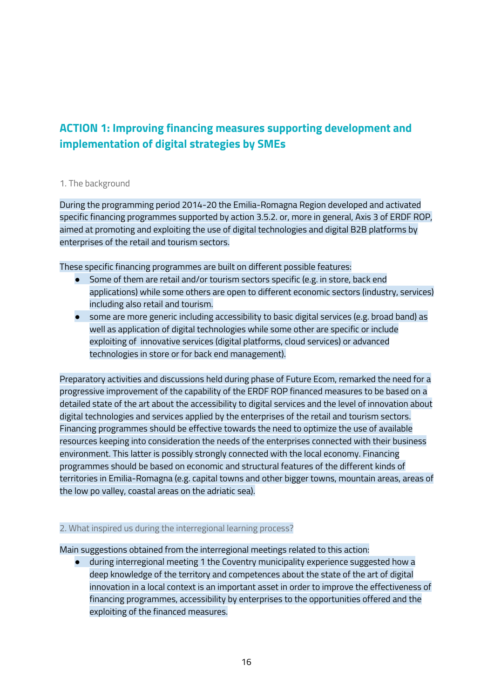### <span id="page-15-0"></span>**ACTION 1: Improving financing measures supporting development and implementation of digital strategies by SMEs**

### <span id="page-15-1"></span>1. The background

During the programming period 2014-20 the Emilia-Romagna Region developed and activated specific financing programmes supported by action 3.5.2. or, more in general, Axis 3 of ERDF ROP, aimed at promoting and exploiting the use of digital technologies and digital B2B platforms by enterprises of the retail and tourism sectors.

These specific financing programmes are built on different possible features:

- Some of them are retail and/or tourism sectors specific (e.g. in store, back end applications) while some others are open to different economic sectors (industry, services) including also retail and tourism.
- some are more generic including accessibility to basic digital services (e.g. broad band) as well as application of digital technologies while some other are specific or include exploiting of innovative services (digital platforms, cloud services) or advanced technologies in store or for back end management).

Preparatory activities and discussions held during phase of Future Ecom, remarked the need for a progressive improvement of the capability of the ERDF ROP financed measures to be based on a detailed state of the art about the accessibility to digital services and the level of innovation about digital technologies and services applied by the enterprises of the retail and tourism sectors. Financing programmes should be effective towards the need to optimize the use of available resources keeping into consideration the needs of the enterprises connected with their business environment. This latter is possibly strongly connected with the local economy. Financing programmes should be based on economic and structural features of the different kinds of territories in Emilia-Romagna (e.g. capital towns and other bigger towns, mountain areas, areas of the low po valley, coastal areas on the adriatic sea).

### <span id="page-15-2"></span>2. What inspired us during the interregional learning process?

Main suggestions obtained from the interregional meetings related to this action:

● during interregional meeting 1 the Coventry municipality experience suggested how a deep knowledge of the territory and competences about the state of the art of digital innovation in a local context is an important asset in order to improve the effectiveness of financing programmes, accessibility by enterprises to the opportunities offered and the exploiting of the financed measures.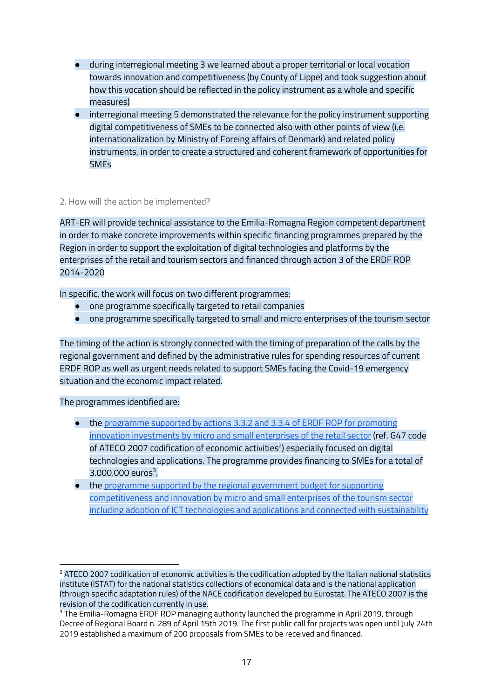- during interregional meeting 3 we learned about a proper territorial or local vocation towards innovation and competitiveness (by County of Lippe) and took suggestion about how this vocation should be reflected in the policy instrument as a whole and specific measures)
- interregional meeting 5 demonstrated the relevance for the policy instrument supporting digital competitiveness of SMEs to be connected also with other points of view (i.e. internationalization by Ministry of Foreing affairs of Denmark) and related policy instruments, in order to create a structured and coherent framework of opportunities for SMEs

### <span id="page-16-0"></span>2. How will the action be implemented?

ART-ER will provide technical assistance to the Emilia-Romagna Region competent department in order to make concrete improvements within specific financing programmes prepared by the Region in order to support the exploitation of digital technologies and platforms by the enterprises of the retail and tourism sectors and financed through action 3 of the ERDF ROP 2014-2020

In specific, the work will focus on two different programmes:

- one programme specifically targeted to retail companies
- one programme specifically targeted to small and micro enterprises of the tourism sector

The timing of the action is strongly connected with the timing of preparation of the calls by the regional government and defined by the administrative rules for spending resources of current ERDF ROP as well as urgent needs related to support SMEs facing the Covid-19 emergency situation and the economic impact related.

The programmes identified are:

- the [programme](https://fesr.regione.emilia-romagna.it/opportunita/2019/bando-per-il-sostegno-degli-investimenti-nel-settore-del-commercio-al-dettaglio) supported by actions 3.3.2 and 3.3.4 of ERDF ROP for promoting innovation [investments](https://fesr.regione.emilia-romagna.it/opportunita/2019/bando-per-il-sostegno-degli-investimenti-nel-settore-del-commercio-al-dettaglio) by micro and small enterprises of the retail sector (ref. G47 code of ATECO 2007 codification of economic activities $^2$ ) especially focused on digital technologies and applications. The programme provides financing to SMEs for a total of  $3.000.000$  euros<sup>3</sup>.
- the programme supported by the regional [government](https://imprese.regione.emilia-romagna.it/Finanziamenti/turismo/bando-per-la-qualificazione-e-innovazione-degli-stabilimenti-balneari) budget for supporting [competitiveness](https://imprese.regione.emilia-romagna.it/Finanziamenti/turismo/bando-per-la-qualificazione-e-innovazione-degli-stabilimenti-balneari) and innovation by micro and small enterprises of the tourism sector including adoption of ICT technologies and applications and connected with [sustainability](https://imprese.regione.emilia-romagna.it/Finanziamenti/turismo/bando-per-la-qualificazione-e-innovazione-degli-stabilimenti-balneari)

<sup>&</sup>lt;sup>2</sup> ATECO 2007 codification of economic activities is the codification adopted by the Italian national statistics institute (ISTAT) for the national statistics collections of economical data and is the national application (through specific adaptation rules) of the NACE codification developed bu Eurostat. The ATECO 2007 is the revision of the codification currently in use.

<sup>&</sup>lt;sup>3</sup> The Emilia-Romagna ERDF ROP managing authority launched the programme in April 2019, through Decree of Regional Board n. 289 of April 15th 2019. The first public call for projects was open until July 24th 2019 established a maximum of 200 proposals from SMEs to be received and financed.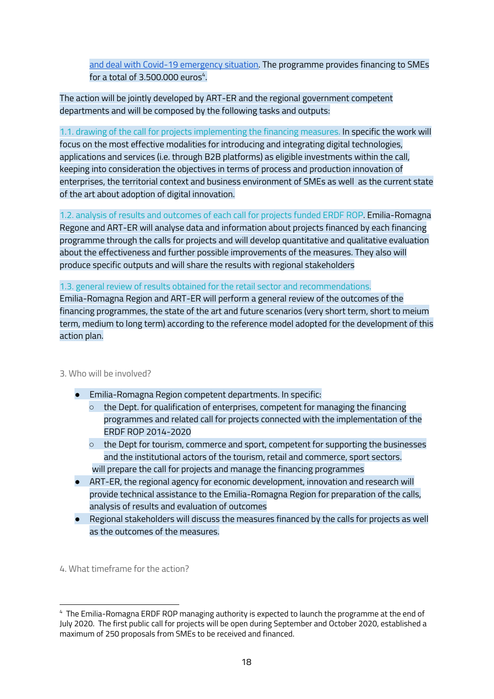and deal with Covid-19 [emergency](https://imprese.regione.emilia-romagna.it/Finanziamenti/turismo/bando-per-la-qualificazione-e-innovazione-degli-stabilimenti-balneari) situation. The programme provides financing to SMEs for a total of 3.500.000  $e$ uros $4$ .

The action will be jointly developed by ART-ER and the regional government competent departments and will be composed by the following tasks and outputs:

1.1. drawing of the call for projects implementing the financing measures. In specific the work will focus on the most effective modalities for introducing and integrating digital technologies, applications and services (i.e. through B2B platforms) as eligible investments within the call, keeping into consideration the objectives in terms of process and production innovation of enterprises, the territorial context and business environment of SMEs as well as the current state of the art about adoption of digital innovation.

1.2. analysis of results and outcomes of each call for projects funded ERDF ROP. Emilia-Romagna Regone and ART-ER will analyse data and information about projects financed by each financing programme through the calls for projects and will develop quantitative and qualitative evaluation about the effectiveness and further possible improvements of the measures. They also will produce specific outputs and will share the results with regional stakeholders

1.3. general review of results obtained for the retail sector and recommendations.

Emilia-Romagna Region and ART-ER will perform a general review of the outcomes of the financing programmes, the state of the art and future scenarios (very short term, short to meium term, medium to long term) according to the reference model adopted for the development of this action plan.

#### <span id="page-17-0"></span>3. Who will be involved?

- Emilia-Romagna Region competent departments. In specific:
	- $\circ$  the Dept. for qualification of enterprises, competent for managing the financing programmes and related call for projects connected with the implementation of the ERDF ROP 2014-2020
	- $\circ$  the Dept for tourism, commerce and sport, competent for supporting the businesses and the institutional actors of the tourism, retail and commerce, sport sectors. will prepare the call for projects and manage the financing programmes
- ART-ER, the regional agency for economic development, innovation and research will provide technical assistance to the Emilia-Romagna Region for preparation of the calls, analysis of results and evaluation of outcomes
- Regional stakeholders will discuss the measures financed by the calls for projects as well as the outcomes of the measures.

<span id="page-17-1"></span>4. What timeframe for the action?

<sup>4</sup> The Emilia-Romagna ERDF ROP managing authority is expected to launch the programme at the end of July 2020. The first public call for projects will be open during September and October 2020, established a maximum of 250 proposals from SMEs to be received and financed.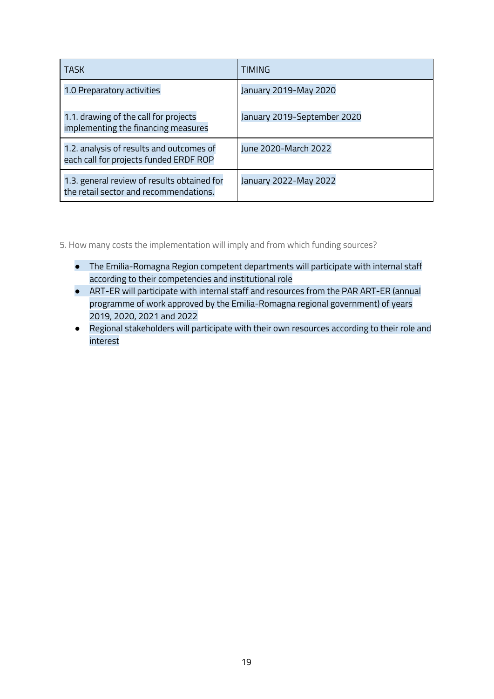| TASK                                                                                  | TIMING                      |
|---------------------------------------------------------------------------------------|-----------------------------|
| 1.0 Preparatory activities                                                            | January 2019-May 2020       |
| 1.1. drawing of the call for projects<br>implementing the financing measures          | January 2019-September 2020 |
| 1.2. analysis of results and outcomes of<br>each call for projects funded ERDF ROP    | June 2020-March 2022        |
| 1.3. general review of results obtained for<br>the retail sector and recommendations. | January 2022-May 2022       |

<span id="page-18-0"></span>5. How many costs the implementation will imply and from which funding sources?

- The Emilia-Romagna Region competent departments will participate with internal staff according to their competencies and institutional role
- ART-ER will participate with internal staff and resources from the PAR ART-ER (annual programme of work approved by the Emilia-Romagna regional government) of years 2019, 2020, 2021 and 2022
- Regional stakeholders will participate with their own resources according to their role and interest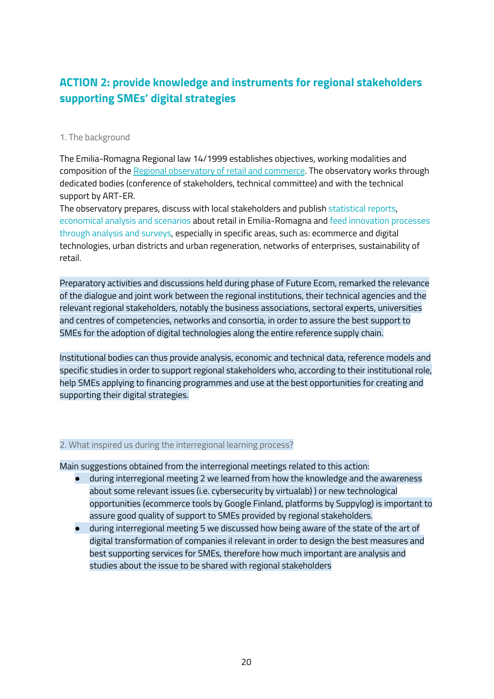### <span id="page-19-0"></span>**ACTION 2: provide knowledge and instruments for regional stakeholders supporting SMEs' digital strategies**

### <span id="page-19-1"></span>1. The background

The Emilia-Romagna Regional law 14/1999 establishes objectives, working modalities and composition of the Regional [observatory](https://imprese.regione.emilia-romagna.it/commercio/temi/osservatorio-commercio) of retail and commerce. The observatory works through dedicated bodies (conference of stakeholders, technical committee) and with the technical support by ART-ER.

The observatory prepares, discuss with local stakeholders and publish statistical reports, economical analysis and scenarios about retail in Emilia-Romagna and feed innovation processes through analysis and surveys, especially in specific areas, such as: ecommerce and digital technologies, urban districts and urban regeneration, networks of enterprises, sustainability of retail.

Preparatory activities and discussions held during phase of Future Ecom, remarked the relevance of the dialogue and joint work between the regional institutions, their technical agencies and the relevant regional stakeholders, notably the business associations, sectoral experts, universities and centres of competencies, networks and consortia, in order to assure the best support to SMEs for the adoption of digital technologies along the entire reference supply chain.

Institutional bodies can thus provide analysis, economic and technical data, reference models and specific studies in order to support regional stakeholders who, according to their institutional role, help SMEs applying to financing programmes and use at the best opportunities for creating and supporting their digital strategies.

### <span id="page-19-2"></span>2. What inspired us during the interregional learning process?

Main suggestions obtained from the interregional meetings related to this action:

- during interregional meeting 2 we learned from how the knowledge and the awareness about some relevant issues (i.e. cybersecurity by virtualab) ) or new technological opportunities (ecommerce tools by Google Finland, platforms by Suppylog) is important to assure good quality of support to SMEs provided by regional stakeholders.
- during interregional meeting 5 we discussed how being aware of the state of the art of digital transformation of companies il relevant in order to design the best measures and best supporting services for SMEs, therefore how much important are analysis and studies about the issue to be shared with regional stakeholders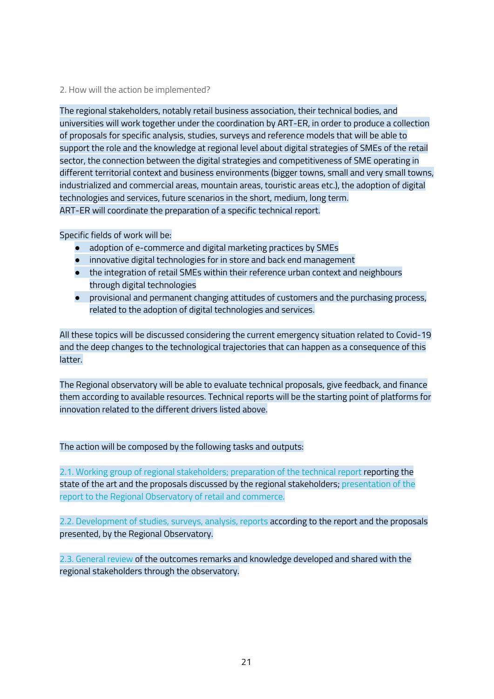#### <span id="page-20-0"></span>2. How will the action be implemented?

The regional stakeholders, notably retail business association, their technical bodies, and universities will work together under the coordination by ART-ER, in order to produce a collection of proposals for specific analysis, studies, surveys and reference models that will be able to support the role and the knowledge at regional level about digital strategies of SMEs of the retail sector, the connection between the digital strategies and competitiveness of SME operating in different territorial context and business environments (bigger towns, small and very small towns, industrialized and commercial areas, mountain areas, touristic areas etc.), the adoption of digital technologies and services, future scenarios in the short, medium, long term. ART-ER will coordinate the preparation of a specific technical report.

Specific fields of work will be:

- adoption of e-commerce and digital marketing practices by SMEs
- innovative digital technologies for in store and back end management
- the integration of retail SMEs within their reference urban context and neighbours through digital technologies
- provisional and permanent changing attitudes of customers and the purchasing process, related to the adoption of digital technologies and services.

All these topics will be discussed considering the current emergency situation related to Covid-19 and the deep changes to the technological trajectories that can happen as a consequence of this latter.

The Regional observatory will be able to evaluate technical proposals, give feedback, and finance them according to available resources. Technical reports will be the starting point of platforms for innovation related to the different drivers listed above.

The action will be composed by the following tasks and outputs:

2.1. Working group of regional stakeholders; preparation of the technical report reporting the state of the art and the proposals discussed by the regional stakeholders; presentation of the report to the Regional Observatory of retail and commerce.

2.2. Development of studies, surveys, analysis, reports according to the report and the proposals presented, by the Regional Observatory.

2.3. General review of the outcomes remarks and knowledge developed and shared with the regional stakeholders through the observatory.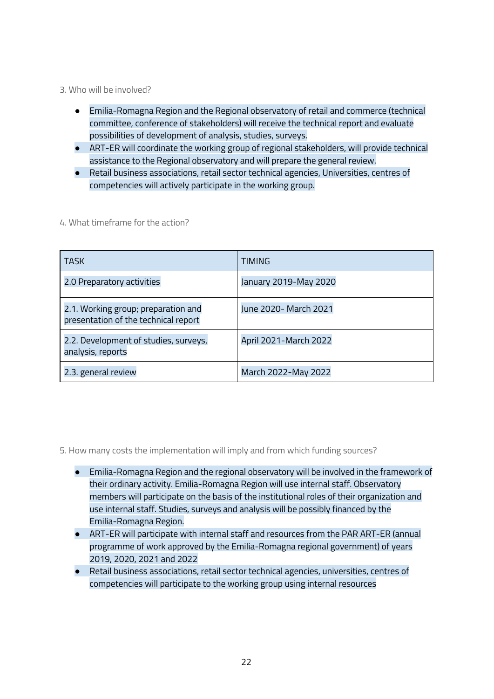<span id="page-21-0"></span>3. Who will be involved?

- Emilia-Romagna Region and the Regional observatory of retail and commerce (technical committee, conference of stakeholders) will receive the technical report and evaluate possibilities of development of analysis, studies, surveys.
- ART-ER will coordinate the working group of regional stakeholders, will provide technical assistance to the Regional observatory and will prepare the general review.
- Retail business associations, retail sector technical agencies, Universities, centres of competencies will actively participate in the working group.

| <b>TASK</b>                                                                 | TIMING                |
|-----------------------------------------------------------------------------|-----------------------|
| 2.0 Preparatory activities                                                  | January 2019-May 2020 |
| 2.1. Working group; preparation and<br>presentation of the technical report | June 2020- March 2021 |
| 2.2. Development of studies, surveys,<br>analysis, reports                  | April 2021-March 2022 |
| 2.3. general review                                                         | March 2022-May 2022   |

<span id="page-21-1"></span>4. What timeframe for the action?

<span id="page-21-2"></span>5. How many costs the implementation will imply and from which funding sources?

- Emilia-Romagna Region and the regional observatory will be involved in the framework of their ordinary activity. Emilia-Romagna Region will use internal staff. Observatory members will participate on the basis of the institutional roles of their organization and use internal staff. Studies, surveys and analysis will be possibly financed by the Emilia-Romagna Region.
- ART-ER will participate with internal staff and resources from the PAR ART-ER (annual programme of work approved by the Emilia-Romagna regional government) of years 2019, 2020, 2021 and 2022
- Retail business associations, retail sector technical agencies, universities, centres of competencies will participate to the working group using internal resources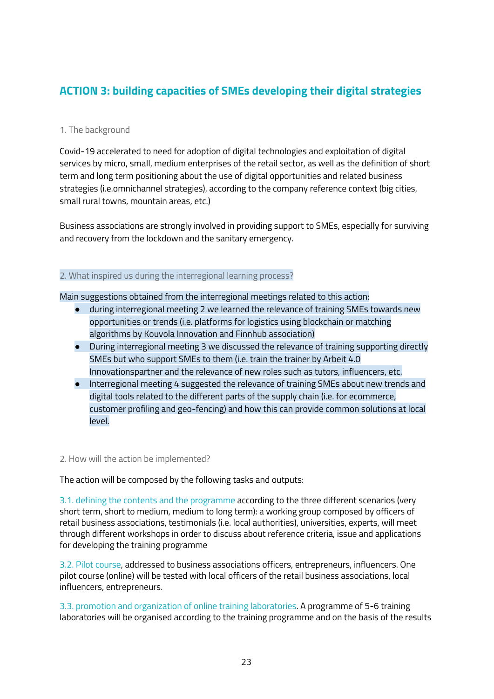### <span id="page-22-0"></span>**ACTION 3: building capacities of SMEs developing their digital strategies**

### <span id="page-22-1"></span>1. The background

Covid-19 accelerated to need for adoption of digital technologies and exploitation of digital services by micro, small, medium enterprises of the retail sector, as well as the definition of short term and long term positioning about the use of digital opportunities and related business strategies (i.e.omnichannel strategies), according to the company reference context (big cities, small rural towns, mountain areas, etc.)

<span id="page-22-2"></span>Business associations are strongly involved in providing support to SMEs, especially for surviving and recovery from the lockdown and the sanitary emergency.

### 2. What inspired us during the interregional learning process?

Main suggestions obtained from the interregional meetings related to this action:

- during interregional meeting 2 we learned the relevance of training SMEs towards new opportunities or trends (i.e. platforms for logistics using blockchain or matching algorithms by Kouvola Innovation and Finnhub association)
- During interregional meeting 3 we discussed the relevance of training supporting directly SMEs but who support SMEs to them (i.e. train the trainer by Arbeit 4.0 Innovationspartner and the relevance of new roles such as tutors, influencers, etc.
- Interregional meeting 4 suggested the relevance of training SMEs about new trends and digital tools related to the different parts of the supply chain (i.e. for ecommerce, customer profiling and geo-fencing) and how this can provide common solutions at local level.

#### <span id="page-22-3"></span>2. How will the action be implemented?

The action will be composed by the following tasks and outputs:

3.1. defining the contents and the programme according to the three different scenarios (very short term, short to medium, medium to long term): a working group composed by officers of retail business associations, testimonials (i.e. local authorities), universities, experts, will meet through different workshops in order to discuss about reference criteria, issue and applications for developing the training programme

3.2. Pilot course, addressed to business associations officers, entrepreneurs, influencers. One pilot course (online) will be tested with local officers of the retail business associations, local influencers, entrepreneurs.

3.3. promotion and organization of online training laboratories. A programme of 5-6 training laboratories will be organised according to the training programme and on the basis of the results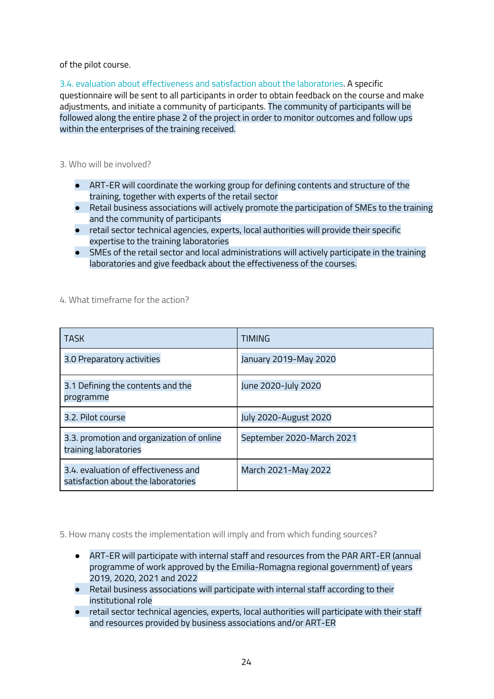of the pilot course.

3.4. evaluation about effectiveness and satisfaction about the laboratories. A specific questionnaire will be sent to all participants in order to obtain feedback on the course and make adjustments, and initiate a community of participants. The community of participants will be followed along the entire phase 2 of the project in order to monitor outcomes and follow ups within the enterprises of the training received.

<span id="page-23-0"></span>3. Who will be involved?

- ART-ER will coordinate the working group for defining contents and structure of the training, together with experts of the retail sector
- Retail business associations will actively promote the participation of SMEs to the training and the community of participants
- retail sector technical agencies, experts, local authorities will provide their specific expertise to the training laboratories
- <span id="page-23-1"></span>● SMEs of the retail sector and local administrations will actively participate in the training laboratories and give feedback about the effectiveness of the courses.

4. What timeframe for the action?

| <b>TASK</b>                                                                 | <b>TIMING</b>                |
|-----------------------------------------------------------------------------|------------------------------|
| 3.0 Preparatory activities                                                  | January 2019-May 2020        |
| 3.1 Defining the contents and the<br>programme                              | June 2020-July 2020          |
| 3.2. Pilot course                                                           | <b>July 2020-August 2020</b> |
| 3.3. promotion and organization of online<br>training laboratories          | September 2020-March 2021    |
| 3.4, evaluation of effectiveness and<br>satisfaction about the laboratories | March 2021-May 2022          |

<span id="page-23-2"></span>5. How many costs the implementation will imply and from which funding sources?

- ART-ER will participate with internal staff and resources from the PAR ART-ER (annual programme of work approved by the Emilia-Romagna regional government) of years 2019, 2020, 2021 and 2022
- Retail business associations will participate with internal staff according to their institutional role
- retail sector technical agencies, experts, local authorities will participate with their staff and resources provided by business associations and/or ART-ER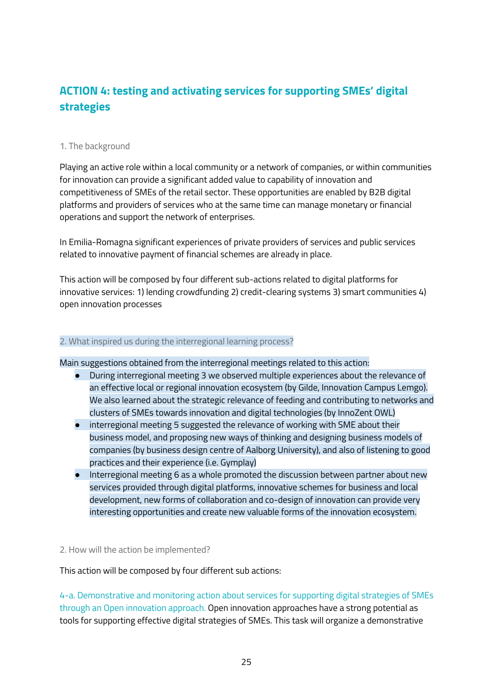### <span id="page-24-0"></span>**ACTION 4: testing and activating services for supporting SMEs' digital strategies**

### <span id="page-24-1"></span>1. The background

Playing an active role within a local community or a network of companies, or within communities for innovation can provide a significant added value to capability of innovation and competitiveness of SMEs of the retail sector. These opportunities are enabled by B2B digital platforms and providers of services who at the same time can manage monetary or financial operations and support the network of enterprises.

In Emilia-Romagna significant experiences of private providers of services and public services related to innovative payment of financial schemes are already in place.

This action will be composed by four different sub-actions related to digital platforms for innovative services: 1) lending crowdfunding 2) credit-clearing systems 3) smart communities 4) open innovation processes

### <span id="page-24-2"></span>2. What inspired us during the interregional learning process?

Main suggestions obtained from the interregional meetings related to this action:

- During interregional meeting 3 we observed multiple experiences about the relevance of an effective local or regional innovation ecosystem (by Gilde, Innovation Campus Lemgo). We also learned about the strategic relevance of feeding and contributing to networks and clusters of SMEs towards innovation and digital technologies (by InnoZent OWL)
- interregional meeting 5 suggested the relevance of working with SME about their business model, and proposing new ways of thinking and designing business models of companies (by business design centre of Aalborg University), and also of listening to good practices and their experience (i.e. Gymplay)
- Interregional meeting 6 as a whole promoted the discussion between partner about new services provided through digital platforms, innovative schemes for business and local development, new forms of collaboration and co-design of innovation can provide very interesting opportunities and create new valuable forms of the innovation ecosystem.

#### <span id="page-24-3"></span>2. How will the action be implemented?

This action will be composed by four different sub actions:

4-a. Demonstrative and monitoring action about services for supporting digital strategies of SMEs through an Open innovation approach. Open innovation approaches have a strong potential as tools for supporting effective digital strategies of SMEs. This task will organize a demonstrative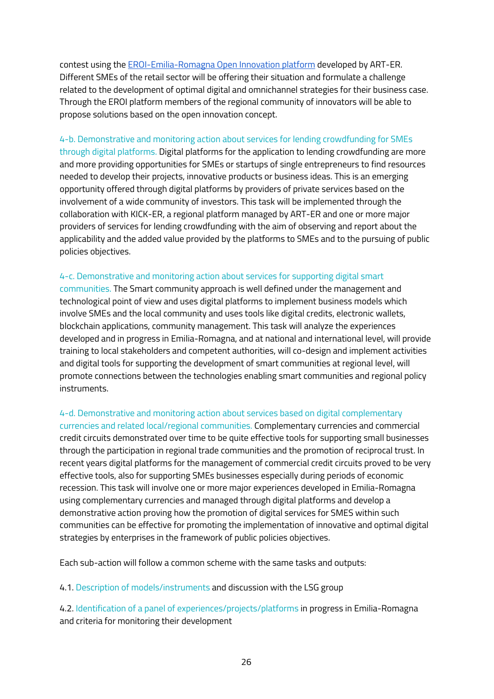contest using the [EROI-Emilia-Romagna](https://www.aster.it/eroi-la-piattaforma-di-open-innovation-dellemilia-romagna) Open Innovation platform developed by ART-ER. Different SMEs of the retail sector will be offering their situation and formulate a challenge related to the development of optimal digital and omnichannel strategies for their business case. Through the EROI platform members of the regional community of innovators will be able to propose solutions based on the open innovation concept.

4-b. Demonstrative and monitoring action about services for lending crowdfunding for SMEs through digital platforms. Digital platforms for the application to lending crowdfunding are more and more providing opportunities for SMEs or startups of single entrepreneurs to find resources needed to develop their projects, innovative products or business ideas. This is an emerging opportunity offered through digital platforms by providers of private services based on the involvement of a wide community of investors. This task will be implemented through the collaboration with KICK-ER, a regional platform managed by ART-ER and one or more major providers of services for lending crowdfunding with the aim of observing and report about the applicability and the added value provided by the platforms to SMEs and to the pursuing of public policies objectives.

#### 4-c. Demonstrative and monitoring action about services for supporting digital smart

communities. The Smart community approach is well defined under the management and technological point of view and uses digital platforms to implement business models which involve SMEs and the local community and uses tools like digital credits, electronic wallets, blockchain applications, community management. This task will analyze the experiences developed and in progress in Emilia-Romagna, and at national and international level, will provide training to local stakeholders and competent authorities, will co-design and implement activities and digital tools for supporting the development of smart communities at regional level, will promote connections between the technologies enabling smart communities and regional policy instruments.

#### 4-d. Demonstrative and monitoring action about services based on digital complementary

currencies and related local/regional communities. Complementary currencies and commercial credit circuits demonstrated over time to be quite effective tools for supporting small businesses through the participation in regional trade communities and the promotion of reciprocal trust. In recent years digital platforms for the management of commercial credit circuits proved to be very effective tools, also for supporting SMEs businesses especially during periods of economic recession. This task will involve one or more major experiences developed in Emilia-Romagna using complementary currencies and managed through digital platforms and develop a demonstrative action proving how the promotion of digital services for SMES within such communities can be effective for promoting the implementation of innovative and optimal digital strategies by enterprises in the framework of public policies objectives.

Each sub-action will follow a common scheme with the same tasks and outputs:

#### 4.1. Description of models/instruments and discussion with the LSG group

4.2. Identification of a panel of experiences/projects/platforms in progress in Emilia-Romagna and criteria for monitoring their development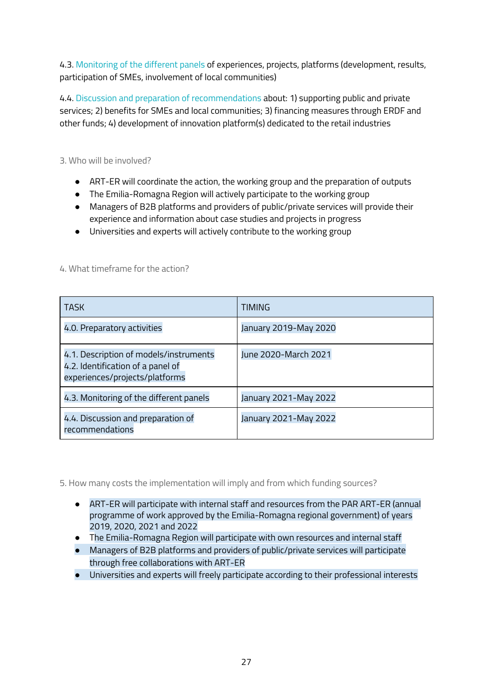4.3. Monitoring of the different panels of experiences, projects, platforms (development, results, participation of SMEs, involvement of local communities)

4.4. Discussion and preparation of recommendations about: 1) supporting public and private services; 2) benefits for SMEs and local communities; 3) financing measures through ERDF and other funds; 4) development of innovation platform(s) dedicated to the retail industries

<span id="page-26-0"></span>3. Who will be involved?

- ART-ER will coordinate the action, the working group and the preparation of outputs
- The Emilia-Romagna Region will actively participate to the working group
- Managers of B2B platforms and providers of public/private services will provide their experience and information about case studies and projects in progress
- <span id="page-26-1"></span>● Universities and experts will actively contribute to the working group

| <b>TASK</b>                                                                                                   | <b>TIMING</b>         |
|---------------------------------------------------------------------------------------------------------------|-----------------------|
| 4.0. Preparatory activities                                                                                   | January 2019-May 2020 |
| 4.1. Description of models/instruments<br>4.2. Identification of a panel of<br>experiences/projects/platforms | June 2020-March 2021  |
| 4.3. Monitoring of the different panels                                                                       | January 2021-May 2022 |
| 4.4. Discussion and preparation of<br>recommendations                                                         | January 2021-May 2022 |

### 4. What timeframe for the action?

<span id="page-26-2"></span>5. How many costs the implementation will imply and from which funding sources?

- ART-ER will participate with internal staff and resources from the PAR ART-ER (annual programme of work approved by the Emilia-Romagna regional government) of years 2019, 2020, 2021 and 2022
- The Emilia-Romagna Region will participate with own resources and internal staff
- Managers of B2B platforms and providers of public/private services will participate through free collaborations with ART-ER
- Universities and experts will freely participate according to their professional interests